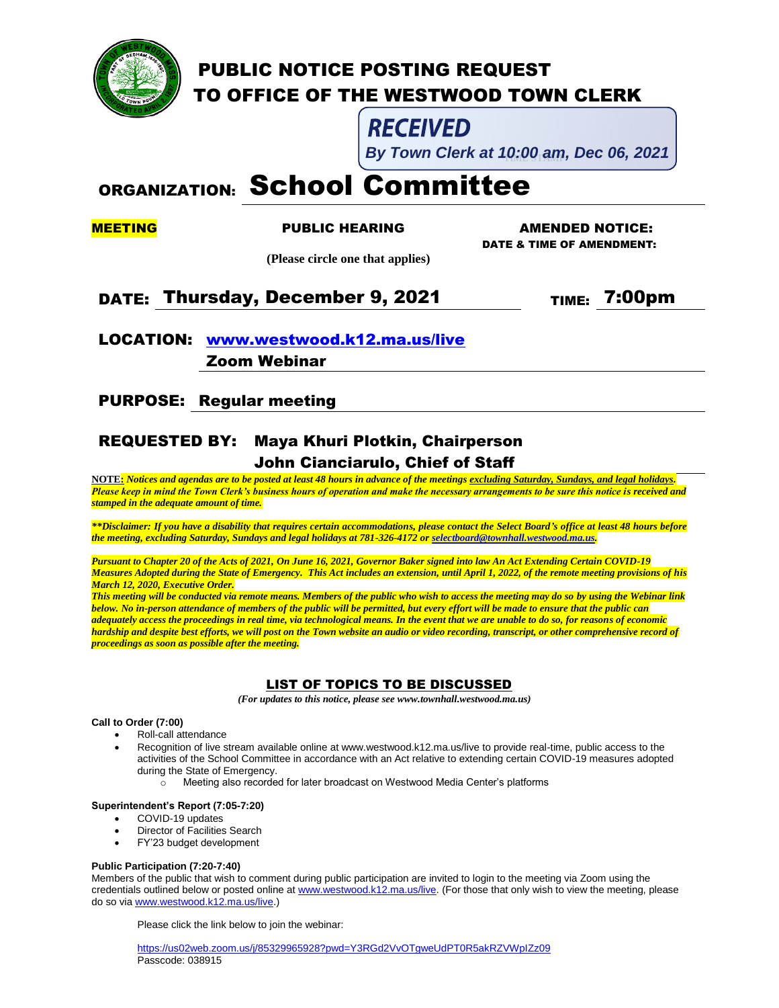

# PUBLIC NOTICE POSTING REQUEST TO OFFICE OF THE WESTWOOD TOWN CLERK

# **RECEIVED**

By Town Clerk at 10:00 am, Dec 06, 2021

# ORGANIZATION: School Committee

MEETING PUBLIC HEARING AMENDED NOTICE: DATE & TIME OF AMENDMENT:

 **(Please circle one that applies)**

# DATE: Thursday, December 9, 2021 TIME: 7:00pm

# LOCATION: [www.westwood.k12.ma.us/live](http://www.westwood.k12.ma.us/live) Zoom Webinar

PURPOSE: Regular meeting

## REQUESTED BY: Maya Khuri Plotkin, Chairperson John Cianciarulo, Chief of Staff

**NOTE:** *Notices and agendas are to be posted at least 48 hours in advance of the meetings excluding Saturday, Sundays, and legal holidays. Please keep in mind the Town Clerk's business hours of operation and make the necessary arrangements to be sure this notice is received and stamped in the adequate amount of time.*

*\*\*Disclaimer: If you have a disability that requires certain accommodations, please contact the Select Board's office at least 48 hours before the meeting, excluding Saturday, Sundays and legal holidays at 781-326-4172 o[r selectboard@townhall.westwood.ma.us.](mailto:selectboard@townhall.westwood.ma.us)* 

*Pursuant to Chapter 20 of the Acts of 2021, On June 16, 2021, Governor Baker signed into law An Act Extending Certain COVID-19 Measures Adopted during the State of Emergency. This Act includes an extension, until April 1, 2022, of the remote meeting provisions of his March 12, 2020, Executive Order.*

*This meeting will be conducted via remote means. Members of the public who wish to access the meeting may do so by using the Webinar link below. No in-person attendance of members of the public will be permitted, but every effort will be made to ensure that the public can adequately access the proceedings in real time, via technological means. In the event that we are unable to do so, for reasons of economic hardship and despite best efforts, we will post on the Town website an audio or video recording, transcript, or other comprehensive record of proceedings as soon as possible after the meeting.*

### LIST OF TOPICS TO BE DISCUSSED

 *(For updates to this notice, please see www.townhall.westwood.ma.us)*

#### **Call to Order (7:00)**

- Roll-call attendance
	- Recognition of live stream available online at www.westwood.k12.ma.us/live to provide real-time, public access to the activities of the School Committee in accordance with an Act relative to extending certain COVID-19 measures adopted during the State of Emergency.
		- $\circ$  Meeting also recorded for later broadcast on Westwood Media Center's platforms

#### **Superintendent's Report (7:05-7:20)**

- COVID-19 updates
- Director of Facilities Search
- FY'23 budget development

#### **Public Participation (7:20-7:40)**

Members of the public that wish to comment during public participation are invited to login to the meeting via Zoom using the credentials outlined below or posted online a[t www.westwood.k12.ma.us/live.](http://www.westwood.k12.ma.us/live) (For those that only wish to view the meeting, please do so vi[a www.westwood.k12.ma.us/live.](http://www.westwood.k12.ma.us/live))

Please click the link below to join the webinar:

<https://us02web.zoom.us/j/85329965928?pwd=Y3RGd2VvOTgweUdPT0R5akRZVWpIZz09> Passcode: 038915